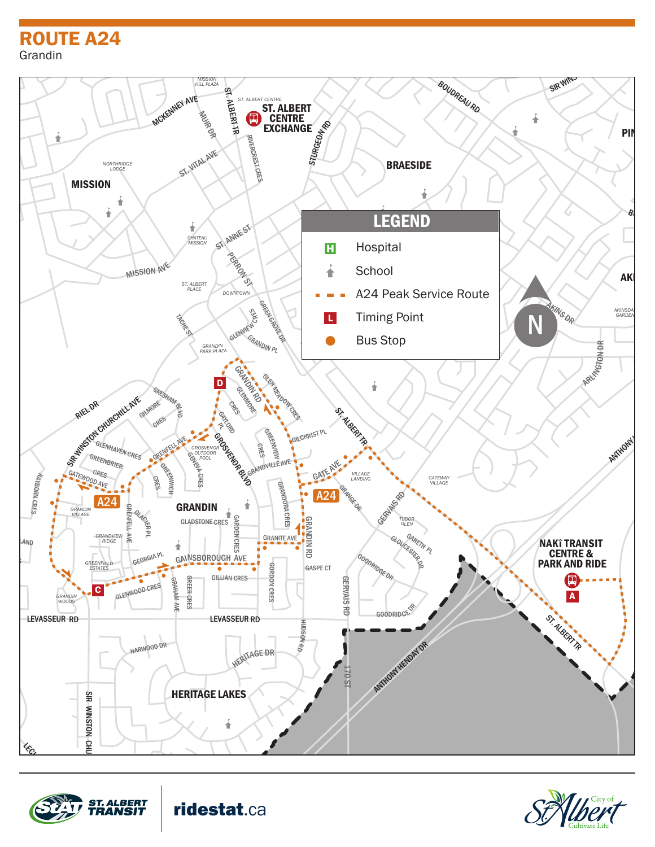## ROUTE A24 PARK Grandin



WOODLANDS RD





ridestat.ca